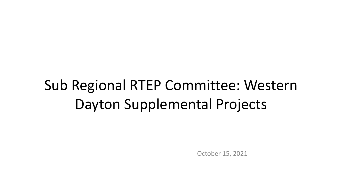# Sub Regional RTEP Committee: Western Dayton Supplemental Projects

October 15, 2021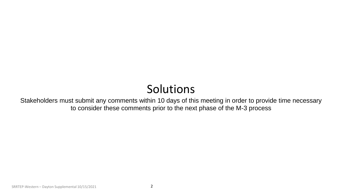### Solutions

Stakeholders must submit any comments within 10 days of this meeting in order to provide time necessary to consider these comments prior to the next phase of the M-3 process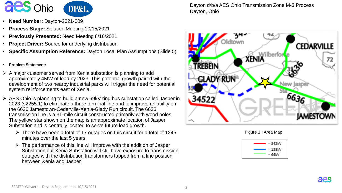

- **Need Number:** Dayton-2021-009
- **Process Stage:** Solution Meeting 10/15/2021
- **Previously Presented:** Need Meeting 8/16/2021
- **Project Driver:** Source for underlying distribution
- **Specific Assumption Reference:** Dayton Local Plan Assumptions (Slide 5)
- **Problem Statement:**
- $\triangleright$  A major customer served from Xenia substation is planning to add approximately 4MW of load by 2023. This potential growth paired with the development of two nearby industrial parks will trigger the need for potential system reinforcements east of Xenia.
- AES Ohio is planning to build a new 69kV ring bus substation called Jasper in 2023 (s2255.1) to eliminate a three terminal line and to improve reliability on the 6636 Jamestown-Cedarville-Xenia-Glady Run circuit. The 6636 transmission line is a 31-mile circuit constructed primarily with wood poles. The yellow star shown on the map is an approximate location of Jasper Substation and is centrally located to serve future load growth.
	- $\triangleright$  There have been a total of 17 outages on this circuit for a total of 1245 minutes over the last 5 years.
	- $\triangleright$  The performance of this line will improve with the addition of Jasper Substation but Xenia Substation will still have exposure to transmission outages with the distribution transformers tapped from a line position between Xenia and Jasper.

Dayton d/b/a AES Ohio Transmission Zone M-3 Process Dayton, Ohio







aes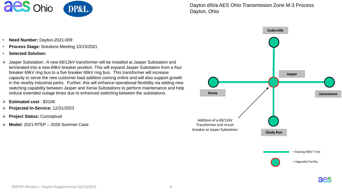

Dayton d/b/a AES Ohio Transmission Zone M-3 Process Dayton, Ohio



aes

- **Need Number:** Dayton-2021-009
- **Process Stage:** Solutions Meeting 10/15/2021
- **Selected Solution:**
- Jasper Substation : A new 69/12kV transformer will be installed at Jasper Substation and terminated into a new 69kV breaker position. This will expand Jasper Substation from a four breaker 69kV ring bus to a five breaker 69kV ring bus. This transformer will increase capacity to serve the new customer load addition coming online and will also support growth in the nearby industrial parks. Further, this will enhance operational flexibility via adding new switching capability between Jasper and Xenia Substations to perform maintenance and help reduce extended outage times due to enhanced switching between the substations.
- **Estimated cost** : \$310K
- **Projected In-Service:** 12/31/2023
- **Project Status:** Conceptual
- **Model:** 2021 RTEP 2026 Summer Case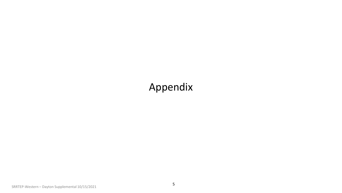#### Appendix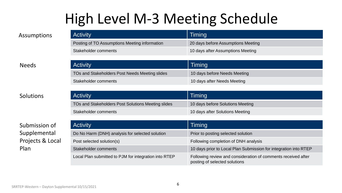## High Level M-3 Meeting Schedule

| Assumptions  | <b>Activity</b>                                | <b>Timing</b>                      |
|--------------|------------------------------------------------|------------------------------------|
|              | Posting of TO Assumptions Meeting information  | 20 days before Assumptions Meeting |
|              | Stakeholder comments                           | 10 days after Assumptions Meeting  |
|              |                                                |                                    |
|              |                                                |                                    |
| <b>Needs</b> | <b>Activity</b>                                | <b>Timing</b>                      |
|              | TOs and Stakeholders Post Needs Meeting slides | 10 days before Needs Meeting       |

Activity **Timing** TOs and Stakeholders Post Solutions Meeting slides 10 days before Solutions Meeting Stakeholder comments 10 days after Solutions Meeting

| Submission of                            | <b>Activity</b>                                       | Timing                                                                                         |
|------------------------------------------|-------------------------------------------------------|------------------------------------------------------------------------------------------------|
| Supplemental<br>Projects & Local<br>Plan | Do No Harm (DNH) analysis for selected solution       | Prior to posting selected solution                                                             |
|                                          | Post selected solution(s)                             | Following completion of DNH analysis                                                           |
|                                          | Stakeholder comments                                  | 10 days prior to Local Plan Submission for integration into RTEP                               |
|                                          | Local Plan submitted to PJM for integration into RTEP | Following review and consideration of comments received after<br>posting of selected solutions |

**Solutions**